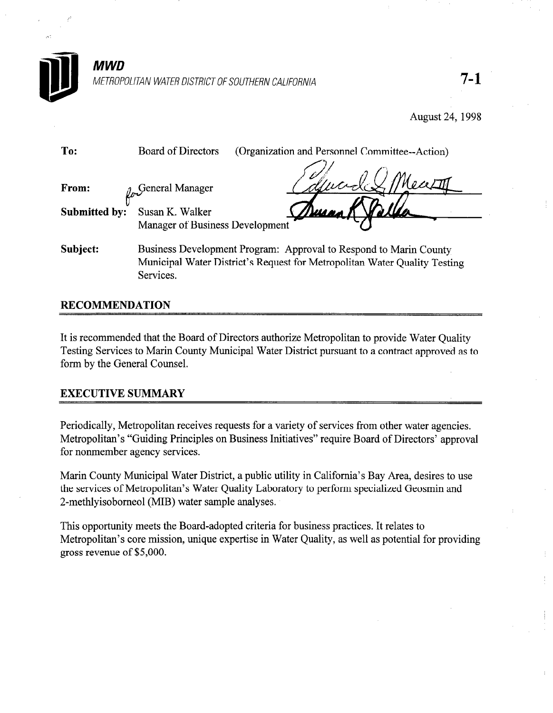

METROPOLITAN WATER DISTRICT OF SOUTHERN CALIFORNIA  $7-1$ 

August 24,1998

| To:           | Board of Directors<br>(Organization and Personnel Committee--Action)                                                                                        |
|---------------|-------------------------------------------------------------------------------------------------------------------------------------------------------------|
| From:         | General Manager                                                                                                                                             |
| Submitted by: | <u> Jusq</u><br>Susan K. Walker                                                                                                                             |
|               | Manager of Business Development                                                                                                                             |
| Subject:      | Business Development Program: Approval to Respond to Marin County<br>Municipal Water District's Request for Metropolitan Water Quality Testing<br>Services. |

## RECOMMENDATION

It is recommended that the Board of Directors authorize Metropolitan to provide Water Quality Testing Services to Marin County Municipal Water District pursuant to a contract approved as to form by the General Counsel.

### EXECUTIVE SUMMARY

Periodically, Metropolitan receives requests for a variety of services from other water agencies. Metropolitan's "Guiding Principles on Business Initiatives" require Board of Directors' approval for nonmember agency services.

Marin County Municipal Water District, a public utility in California's Bay Area, desires to use the services of Metropolitan's Water Quality Laboratory to perform specialized Geosmin and 2-methlyisobomeol (MIB) water sample analyses.

This opportunity meets the Board-adopted criteria for business practices. It relates to Metropolitan's core mission, unique expertise in Water Quality, as well as potential for providing gross revenue of \$5,000.